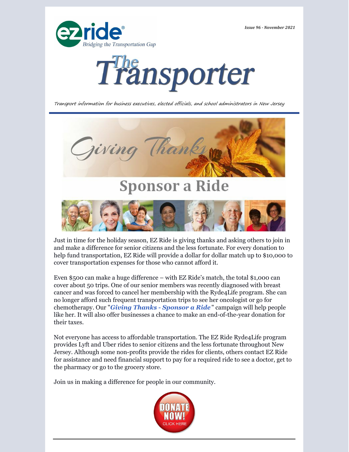*Issue 96 - November 2021*





Transport information for business executives, elected officials, and school administrators in New Jersey



Just in time for the holiday season, EZ Ride is giving thanks and asking others to join in and make a difference for senior citizens and the less fortunate. For every donation to help fund transportation, EZ Ride will provide a dollar for dollar match up to \$10,000 to cover transportation expenses for those who cannot afford it.

Even \$500 can make a huge difference – with EZ Ride's match, the total \$1,000 can cover about 50 trips. One of our senior members was recently diagnosed with breast cancer and was forced to cancel her membership with the Ryde4Life program. She can no longer afford such frequent transportation trips to see her oncologist or go for chemotherapy. Our "*Giving Thanks - [Sponsor](https://ezride.org/transportation/senior-transportation/fundraising/) a Ride* " campaign will help people like her. It will also offer businesses a chance to make an end-of-the-year donation for their taxes.

Not everyone has access to affordable transportation. The EZ Ride Ryde4Life program provides Lyft and Uber rides to senior citizens and the less fortunate throughout New Jersey. Although some non-profits provide the rides for clients, others contact EZ Ride for assistance and need financial support to pay for a required ride to see a doctor, get to the pharmacy or go to the grocery store.

Join us in making a difference for people in our community.

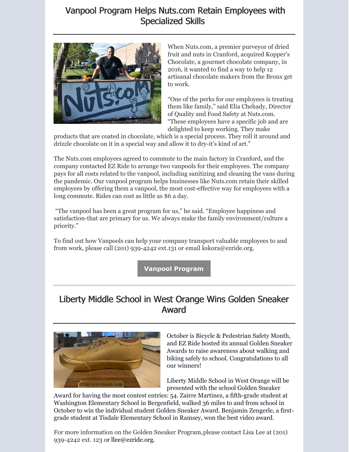## Vanpool Program Helps Nuts.com Retain Employees with Specialized Skills



When Nuts.com, a premier purveyor of dried fruit and nuts in Cranford, acquired Kopper's Chocolate, a gourmet chocolate company, in 2016, it wanted to find a way to help 12 artisanal chocolate makers from the Bronx get to work.

"One of the perks for our employees is treating them like family," said Elia Chehady, Director of Quality and Food Safety at Nuts.com. "These employees have a specific job and are delighted to keep working. They make

products that are coated in chocolate, which is a special process. They roll it around and drizzle chocolate on it in a special way and allow it to dry-it's kind of art."

The Nuts.com employees agreed to commute to the main factory in Cranford, and the company contacted EZ Ride to arrange two vanpools for their employees. The company pays for all costs related to the vanpool, including sanitizing and cleaning the vans during the pandemic. Our vanpool program helps businesses like Nuts.com retain their skilled employees by offering them a vanpool, the most cost-effective way for employees with a long commute. Rides can cost as little as \$6 a day.

"The vanpool has been a great program for us," he said. "Employee happiness and satisfaction-that are primary for us. We always make the family environment/culture a priority."

To find out how Vanpools can help your company transport valuable employees to and from work, please call (201) 939-4242 ext.131 or email kskora@ezride.org.

**Vanpool [Program](https://ezride.org/transportation/vanpools/)**

## Liberty Middle School in West Orange Wins Golden Sneaker Award



October is Bicycle & Pedestrian Safety Month, and EZ Ride hosted its annual Golden Sneaker Awards to raise awareness about walking and biking safely to school. Congratulations to all our winners!

Liberty Middle School in West Orange will be presented with the school Golden Sneaker

Award for having the most contest entries: 54. Zairre Martinez, a fifth-grade student at Washington Elementary School in Bergenfield, walked 36 miles to and from school in October to win the individual student Golden Sneaker Award. Benjamin Zengerle, a firstgrade student at Tisdale Elementary School in Ramsey, won the best video award.

For more information on the Golden Sneaker Program,please contact Lisa Lee at (201) 939-4242 ext. 123 or [llee@ezride.org](mailto:llee@ezride.org).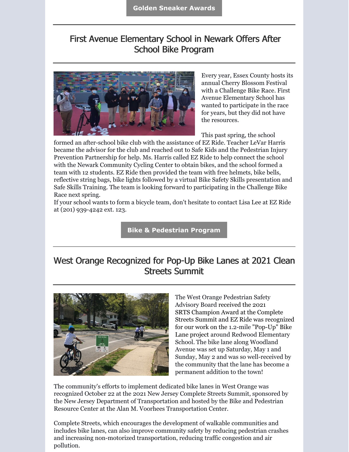## First Avenue Elementary School in Newark Offers After School Bike Program



Every year, Essex County hosts its annual Cherry Blossom Festival with a Challenge Bike Race. First Avenue Elementary School has wanted to participate in the race for years, but they did not have the resources.

This past spring, the school

formed an after-school bike club with the assistance of EZ Ride. Teacher LeVar Harris became the advisor for the club and reached out to Safe Kids and the Pedestrian Injury Prevention Partnership for help. Ms. Harris called EZ Ride to help connect the school with the Newark Community Cycling Center to obtain bikes, and the school formed a team with 12 students. EZ Ride then provided the team with free helmets, bike bells, reflective string bags, bike lights followed by a virtual Bike Safety Skills presentation and Safe Skills Training. The team is looking forward to participating in the Challenge Bike Race next spring.

If your school wants to form a bicycle team, don't hesitate to contact Lisa Lee at EZ Ride at (201) 939-4242 ext. 123.

**Bike & [Pedestrian](https://ezride.org/transportation/bikepedestrian-program/) Program**

## West Orange Recognized for Pop-Up Bike Lanes at 2021 Clean Streets Summit



The West Orange Pedestrian Safety Advisory Board received the 2021 SRTS Champion Award at the Complete Streets Summit and EZ Ride was recognized for our work on the 1.2-mile "Pop-Up" Bike Lane project around Redwood Elementary School. The bike lane along Woodland Avenue was set up Saturday, May 1 and Sunday, May 2 and was so well-received by the community that the lane has become a permanent addition to the town!

The community's efforts to implement dedicated bike lanes in West Orange was recognized October 22 at the 2021 New Jersey Complete Streets Summit, sponsored by the New Jersey Department of Transportation and hosted by the Bike and Pedestrian Resource Center at the Alan M. Voorhees Transportation Center.

Complete Streets, which encourages the development of walkable communities and includes bike lanes, can also improve community safety by reducing pedestrian crashes and increasing non-motorized transportation, reducing traffic congestion and air pollution.